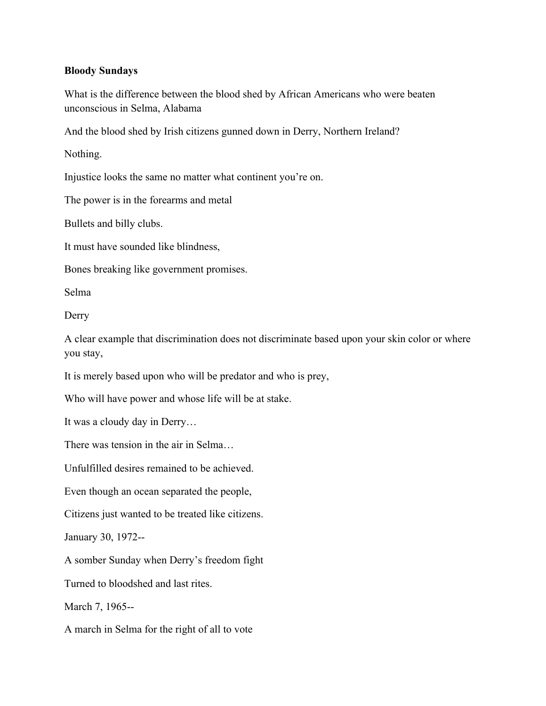## **Bloody Sundays**

What is the difference between the blood shed by African Americans who were beaten unconscious in Selma, Alabama

And the blood shed by Irish citizens gunned down in Derry, Northern Ireland?

Nothing.

Injustice looks the same no matter what continent you're on.

The power is in the forearms and metal

Bullets and billy clubs.

It must have sounded like blindness,

Bones breaking like government promises.

Selma

Derry

A clear example that discrimination does not discriminate based upon your skin color or where you stay,

It is merely based upon who will be predator and who is prey,

Who will have power and whose life will be at stake.

It was a cloudy day in Derry…

There was tension in the air in Selma…

Unfulfilled desires remained to be achieved.

Even though an ocean separated the people,

Citizens just wanted to be treated like citizens.

January 30, 1972--

A somber Sunday when Derry's freedom fight

Turned to bloodshed and last rites.

March 7, 1965--

A march in Selma for the right of all to vote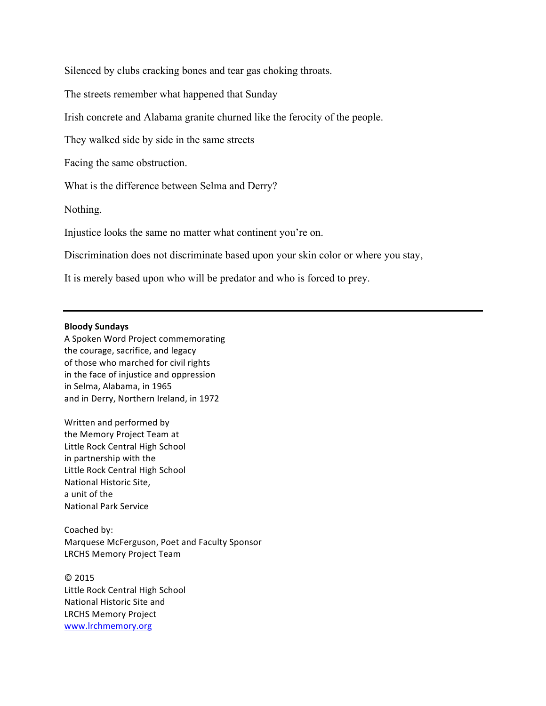Silenced by clubs cracking bones and tear gas choking throats.

The streets remember what happened that Sunday

Irish concrete and Alabama granite churned like the ferocity of the people.

They walked side by side in the same streets

Facing the same obstruction.

What is the difference between Selma and Derry?

Nothing.

Injustice looks the same no matter what continent you're on.

Discrimination does not discriminate based upon your skin color or where you stay,

It is merely based upon who will be predator and who is forced to prey.

## **Bloody Sundays**

A Spoken Word Project commemorating the courage, sacrifice, and legacy of those who marched for civil rights in the face of injustice and oppression in Selma, Alabama, in 1965 and in Derry, Northern Ireland, in 1972

Written and performed by the Memory Project Team at Little Rock Central High School in partnership with the Little Rock Central High School National Historic Site. a unit of the National Park Service

Coached by: Marquese McFerguson, Poet and Faculty Sponsor LRCHS Memory Project Team

© 2015 Little Rock Central High School National Historic Site and LRCHS Memory Project www.lrchmemory.org